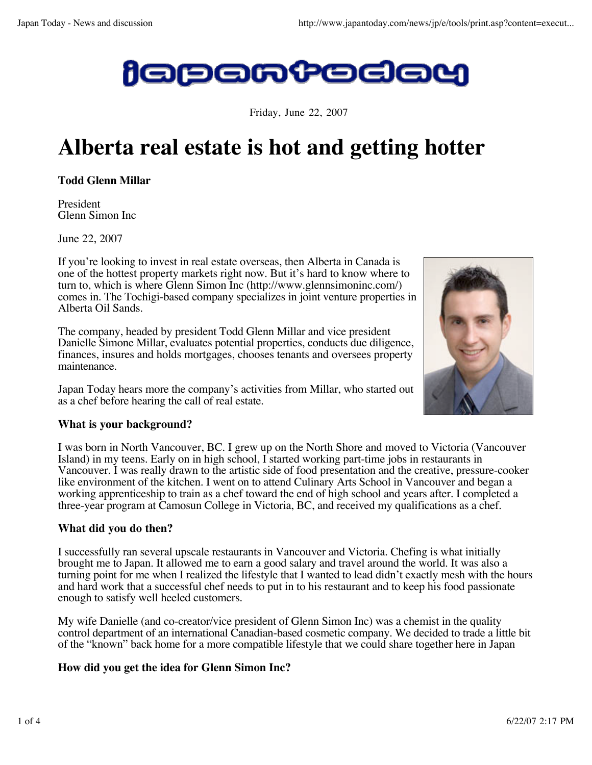

Friday, June 22, 2007

# **Alberta real estate is hot and getting hotter**

**Todd Glenn Millar**

President Glenn Simon Inc

June 22, 2007

If you're looking to invest in real estate overseas, then Alberta in Canada is one of the hottest property markets right now. But it's hard to know where to turn to, which is where Glenn Simon Inc (http://www.glennsimoninc.com/) comes in. The Tochigi-based company specializes in joint venture properties in Alberta Oil Sands.

The company, headed by president Todd Glenn Millar and vice president Danielle Simone Millar, evaluates potential properties, conducts due diligence, finances, insures and holds mortgages, chooses tenants and oversees property maintenance.

Japan Today hears more the company's activities from Millar, who started out as a chef before hearing the call of real estate.

# **What is your background?**

I was born in North Vancouver, BC. I grew up on the North Shore and moved to Victoria (Vancouver Island) in my teens. Early on in high school, I started working part-time jobs in restaurants in Vancouver. I was really drawn to the artistic side of food presentation and the creative, pressure-cooker like environment of the kitchen. I went on to attend Culinary Arts School in Vancouver and began a working apprenticeship to train as a chef toward the end of high school and years after. I completed a three-year program at Camosun College in Victoria, BC, and received my qualifications as a chef.

# **What did you do then?**

I successfully ran several upscale restaurants in Vancouver and Victoria. Chefing is what initially brought me to Japan. It allowed me to earn a good salary and travel around the world. It was also a turning point for me when I realized the lifestyle that I wanted to lead didn't exactly mesh with the hours and hard work that a successful chef needs to put in to his restaurant and to keep his food passionate enough to satisfy well heeled customers.

My wife Danielle (and co-creator/vice president of Glenn Simon Inc) was a chemist in the quality control department of an international Canadian-based cosmetic company. We decided to trade a little bit of the "known" back home for a more compatible lifestyle that we could share together here in Japan

# **How did you get the idea for Glenn Simon Inc?**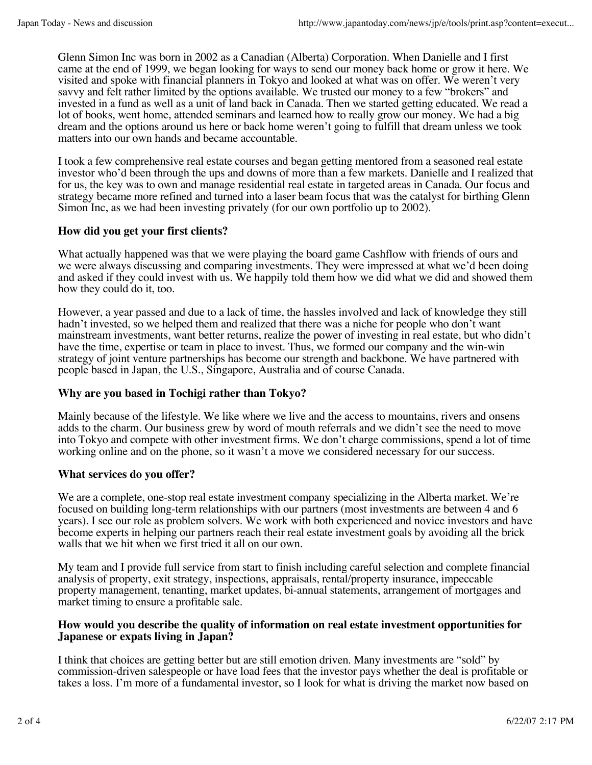Glenn Simon Inc was born in 2002 as a Canadian (Alberta) Corporation. When Danielle and I first came at the end of 1999, we began looking for ways to send our money back home or grow it here. We visited and spoke with financial planners in Tokyo and looked at what was on offer. We weren't very savvy and felt rather limited by the options available. We trusted our money to a few "brokers" and invested in a fund as well as a unit of land back in Canada. Then we started getting educated. We read a lot of books, went home, attended seminars and learned how to really grow our money. We had a big dream and the options around us here or back home weren't going to fulfill that dream unless we took matters into our own hands and became accountable.

I took a few comprehensive real estate courses and began getting mentored from a seasoned real estate investor who'd been through the ups and downs of more than a few markets. Danielle and I realized that for us, the key was to own and manage residential real estate in targeted areas in Canada. Our focus and strategy became more refined and turned into a laser beam focus that was the catalyst for birthing Glenn Simon Inc, as we had been investing privately (for our own portfolio up to 2002).

# **How did you get your first clients?**

What actually happened was that we were playing the board game Cashflow with friends of ours and we were always discussing and comparing investments. They were impressed at what we'd been doing and asked if they could invest with us. We happily told them how we did what we did and showed them how they could do it, too.

However, a year passed and due to a lack of time, the hassles involved and lack of knowledge they still hadn't invested, so we helped them and realized that there was a niche for people who don't want mainstream investments, want better returns, realize the power of investing in real estate, but who didn't have the time, expertise or team in place to invest. Thus, we formed our company and the win-win strategy of joint venture partnerships has become our strength and backbone. We have partnered with people based in Japan, the U.S., Singapore, Australia and of course Canada.

# **Why are you based in Tochigi rather than Tokyo?**

Mainly because of the lifestyle. We like where we live and the access to mountains, rivers and onsens adds to the charm. Our business grew by word of mouth referrals and we didn't see the need to move into Tokyo and compete with other investment firms. We don't charge commissions, spend a lot of time working online and on the phone, so it wasn't a move we considered necessary for our success.

# **What services do you offer?**

We are a complete, one-stop real estate investment company specializing in the Alberta market. We're focused on building long-term relationships with our partners (most investments are between 4 and 6 years). I see our role as problem solvers. We work with both experienced and novice investors and have become experts in helping our partners reach their real estate investment goals by avoiding all the brick walls that we hit when we first tried it all on our own.

My team and I provide full service from start to finish including careful selection and complete financial analysis of property, exit strategy, inspections, appraisals, rental/property insurance, impeccable property management, tenanting, market updates, bi-annual statements, arrangement of mortgages and market timing to ensure a profitable sale.

#### **How would you describe the quality of information on real estate investment opportunities for Japanese or expats living in Japan?**

I think that choices are getting better but are still emotion driven. Many investments are "sold" by commission-driven salespeople or have load fees that the investor pays whether the deal is profitable or takes a loss. I'm more of a fundamental investor, so I look for what is driving the market now based on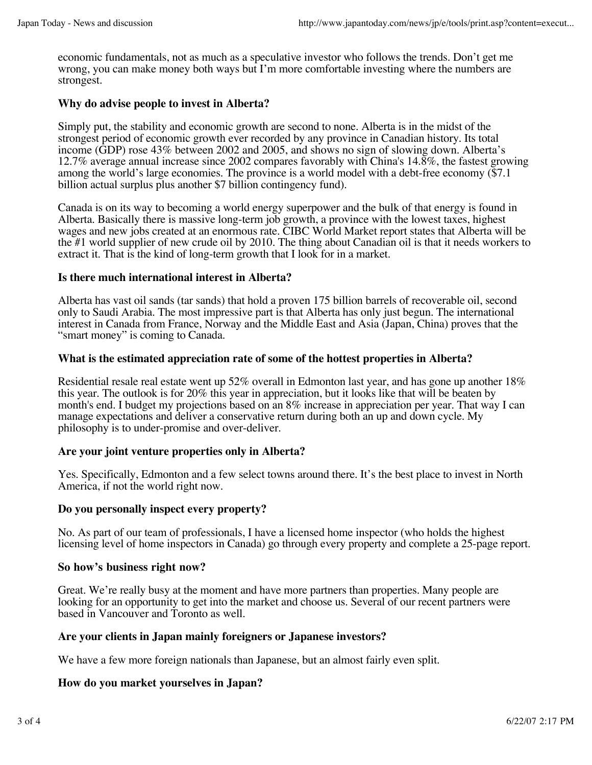economic fundamentals, not as much as a speculative investor who follows the trends. Don't get me wrong, you can make money both ways but I'm more comfortable investing where the numbers are strongest.

# **Why do advise people to invest in Alberta?**

Simply put, the stability and economic growth are second to none. Alberta is in the midst of the strongest period of economic growth ever recorded by any province in Canadian history. Its total income (GDP) rose 43% between 2002 and 2005, and shows no sign of slowing down. Alberta's 12.7% average annual increase since 2002 compares favorably with China's 14.8%, the fastest growing among the world's large economies. The province is a world model with a debt-free economy (\$7.1 billion actual surplus plus another \$7 billion contingency fund).

Canada is on its way to becoming a world energy superpower and the bulk of that energy is found in Alberta. Basically there is massive long-term job growth, a province with the lowest taxes, highest wages and new jobs created at an enormous rate. CIBC World Market report states that Alberta will be the #1 world supplier of new crude oil by 2010. The thing about Canadian oil is that it needs workers to extract it. That is the kind of long-term growth that I look for in a market.

#### **Is there much international interest in Alberta?**

Alberta has vast oil sands (tar sands) that hold a proven 175 billion barrels of recoverable oil, second only to Saudi Arabia. The most impressive part is that Alberta has only just begun. The international interest in Canada from France, Norway and the Middle East and Asia (Japan, China) proves that the "smart money" is coming to Canada.

#### **What is the estimated appreciation rate of some of the hottest properties in Alberta?**

Residential resale real estate went up 52% overall in Edmonton last year, and has gone up another 18% this year. The outlook is for 20% this year in appreciation, but it looks like that will be beaten by month's end. I budget my projections based on an 8% increase in appreciation per year. That way I can manage expectations and deliver a conservative return during both an up and down cycle. My philosophy is to under-promise and over-deliver.

# **Are your joint venture properties only in Alberta?**

Yes. Specifically, Edmonton and a few select towns around there. It's the best place to invest in North America, if not the world right now.

#### **Do you personally inspect every property?**

No. As part of our team of professionals, I have a licensed home inspector (who holds the highest licensing level of home inspectors in Canada) go through every property and complete a 25-page report.

#### **So how's business right now?**

Great. We're really busy at the moment and have more partners than properties. Many people are looking for an opportunity to get into the market and choose us. Several of our recent partners were based in Vancouver and Toronto as well.

#### **Are your clients in Japan mainly foreigners or Japanese investors?**

We have a few more foreign nationals than Japanese, but an almost fairly even split.

#### **How do you market yourselves in Japan?**